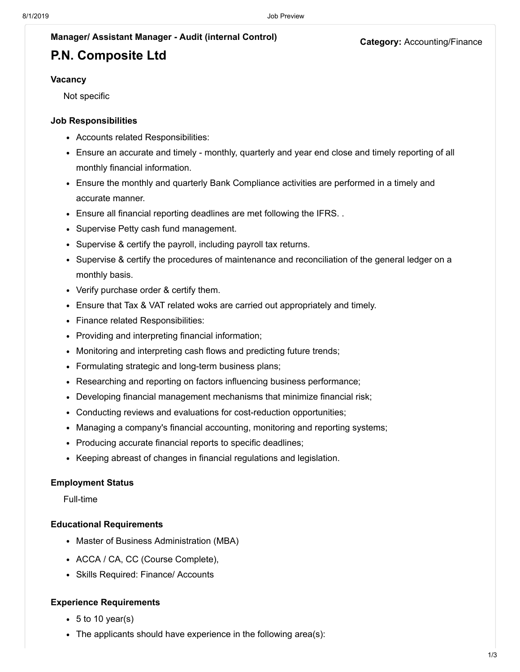#### **Category:** Accounting/Finance

#### **Manager/ Assistant Manager - Audit (internal Control)**

## **P.N. Composite Ltd**

#### **Vacancy**

Not specific

#### **Job Responsibilities**

- Accounts related Responsibilities:
- Ensure an accurate and timely monthly, quarterly and year end close and timely reporting of all monthly financial information.
- Ensure the monthly and quarterly Bank Compliance activities are performed in a timely and accurate manner.
- Ensure all financial reporting deadlines are met following the IFRS. .
- Supervise Petty cash fund management.
- Supervise & certify the payroll, including payroll tax returns.
- Supervise & certify the procedures of maintenance and reconciliation of the general ledger on a monthly basis.
- Verify purchase order & certify them.
- Ensure that Tax & VAT related woks are carried out appropriately and timely.
- Finance related Responsibilities:
- Providing and interpreting financial information;
- Monitoring and interpreting cash flows and predicting future trends;
- Formulating strategic and long-term business plans;
- Researching and reporting on factors influencing business performance;
- Developing financial management mechanisms that minimize financial risk;
- Conducting reviews and evaluations for cost-reduction opportunities;
- Managing a company's financial accounting, monitoring and reporting systems;
- Producing accurate financial reports to specific deadlines;
- Keeping abreast of changes in financial regulations and legislation.

#### **Employment Status**

Full-time

#### **Educational Requirements**

- Master of Business Administration (MBA)
- ACCA / CA, CC (Course Complete),
- Skills Required: Finance/ Accounts

#### **Experience Requirements**

- $\bullet$  5 to 10 year(s)
- The applicants should have experience in the following area(s):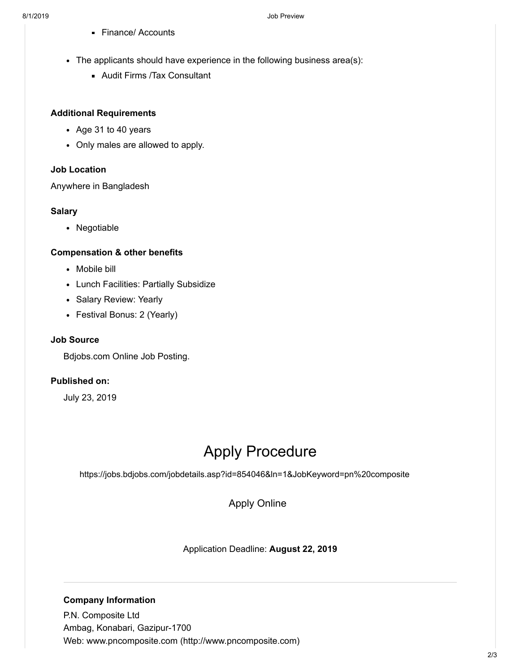- **Finance/ Accounts**
- The applicants should have experience in the following business area(s):
	- Audit Firms /Tax Consultant

### **Additional Requirements**

- Age 31 to 40 years
- Only males are allowed to apply.

## **Job Location**

Anywhere in Bangladesh

## **Salary**

• Negotiable

## **Compensation & other benefits**

- Mobile bill
- Lunch Facilities: Partially Subsidize
- Salary Review: Yearly
- Festival Bonus: 2 (Yearly)

## **Job Source**

Bdjobs.com Online Job Posting.

## **Published on:**

July 23, 2019

# Apply Procedure

https://jobs.bdjobs.com/jobdetails.asp?id=854046&ln=1&JobKeyword=pn%20composite

[Apply Online](javascript:void(0);)

Application Deadline: **August 22, 2019**

## **Company Information**

P.N. Composite Ltd Ambag, Konabari, Gazipur-1700 Web: [www.pncomposite.com \(http://www.pncomposite.com\)](http://www.pncomposite.com/)